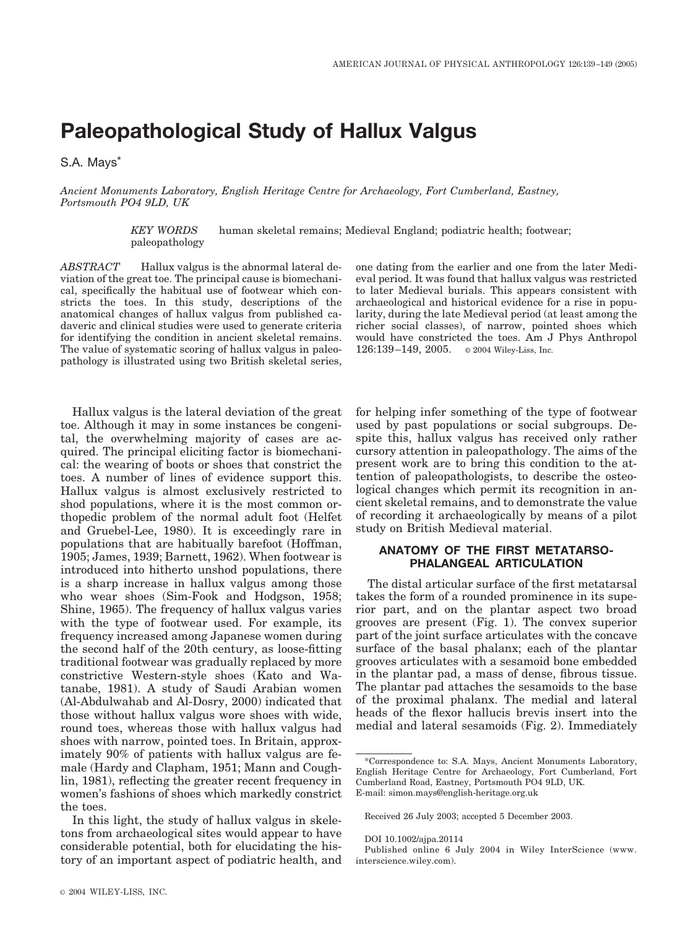# **Paleopathological Study of Hallux Valgus**

S.A. Mays\*

*Ancient Monuments Laboratory, English Heritage Centre for Archaeology, Fort Cumberland, Eastney, Portsmouth PO4 9LD, UK*

> *KEY WORDS* human skeletal remains; Medieval England; podiatric health; footwear; paleopathology

*ABSTRACT* Hallux valgus is the abnormal lateral deviation of the great toe. The principal cause is biomechanical, specifically the habitual use of footwear which constricts the toes. In this study, descriptions of the anatomical changes of hallux valgus from published cadaveric and clinical studies were used to generate criteria for identifying the condition in ancient skeletal remains. The value of systematic scoring of hallux valgus in paleopathology is illustrated using two British skeletal series,

Hallux valgus is the lateral deviation of the great toe. Although it may in some instances be congenital, the overwhelming majority of cases are acquired. The principal eliciting factor is biomechanical: the wearing of boots or shoes that constrict the toes. A number of lines of evidence support this. Hallux valgus is almost exclusively restricted to shod populations, where it is the most common orthopedic problem of the normal adult foot (Helfet and Gruebel-Lee, 1980). It is exceedingly rare in populations that are habitually barefoot (Hoffman, 1905; James, 1939; Barnett, 1962). When footwear is introduced into hitherto unshod populations, there is a sharp increase in hallux valgus among those who wear shoes (Sim-Fook and Hodgson, 1958; Shine, 1965). The frequency of hallux valgus varies with the type of footwear used. For example, its frequency increased among Japanese women during the second half of the 20th century, as loose-fitting traditional footwear was gradually replaced by more constrictive Western-style shoes (Kato and Watanabe, 1981). A study of Saudi Arabian women (Al-Abdulwahab and Al-Dosry, 2000) indicated that those without hallux valgus wore shoes with wide, round toes, whereas those with hallux valgus had shoes with narrow, pointed toes. In Britain, approximately 90% of patients with hallux valgus are female (Hardy and Clapham, 1951; Mann and Coughlin, 1981), reflecting the greater recent frequency in women's fashions of shoes which markedly constrict the toes.

In this light, the study of hallux valgus in skeletons from archaeological sites would appear to have considerable potential, both for elucidating the history of an important aspect of podiatric health, and one dating from the earlier and one from the later Medieval period. It was found that hallux valgus was restricted to later Medieval burials. This appears consistent with archaeological and historical evidence for a rise in popularity, during the late Medieval period (at least among the richer social classes), of narrow, pointed shoes which would have constricted the toes. Am J Phys Anthropol 126:139 –149, 2005. © 2004 Wiley-Liss, Inc.

for helping infer something of the type of footwear used by past populations or social subgroups. Despite this, hallux valgus has received only rather cursory attention in paleopathology. The aims of the present work are to bring this condition to the attention of paleopathologists, to describe the osteological changes which permit its recognition in ancient skeletal remains, and to demonstrate the value of recording it archaeologically by means of a pilot study on British Medieval material.

# **ANATOMY OF THE FIRST METATARSO-PHALANGEAL ARTICULATION**

The distal articular surface of the first metatarsal takes the form of a rounded prominence in its superior part, and on the plantar aspect two broad grooves are present (Fig. 1). The convex superior part of the joint surface articulates with the concave surface of the basal phalanx; each of the plantar grooves articulates with a sesamoid bone embedded in the plantar pad, a mass of dense, fibrous tissue. The plantar pad attaches the sesamoids to the base of the proximal phalanx. The medial and lateral heads of the flexor hallucis brevis insert into the medial and lateral sesamoids (Fig. 2). Immediately

<sup>\*</sup>Correspondence to: S.A. Mays, Ancient Monuments Laboratory, English Heritage Centre for Archaeology, Fort Cumberland, Fort Cumberland Road, Eastney, Portsmouth PO4 9LD, UK. E-mail: simon.mays@english-heritage.org.uk

Received 26 July 2003; accepted 5 December 2003.

DOI 10.1002/ajpa.20114

Published online 6 July 2004 in Wiley InterScience (www. interscience.wiley.com).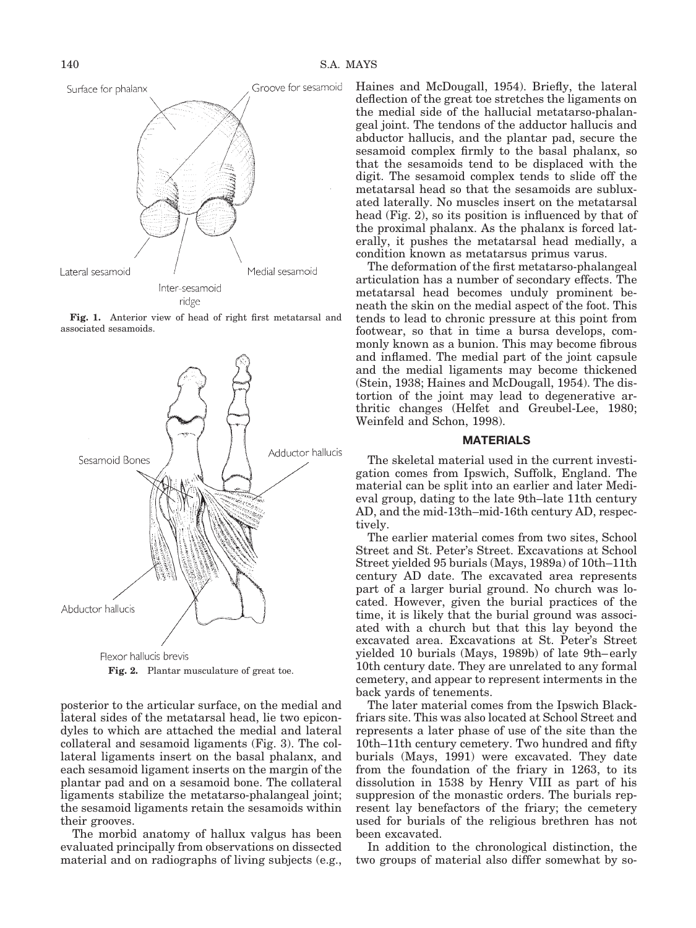

**Fig. 1.** Anterior view of head of right first metatarsal and associated sesamoids.



**Fig. 2.** Plantar musculature of great toe.

posterior to the articular surface, on the medial and lateral sides of the metatarsal head, lie two epicondyles to which are attached the medial and lateral collateral and sesamoid ligaments (Fig. 3). The collateral ligaments insert on the basal phalanx, and each sesamoid ligament inserts on the margin of the plantar pad and on a sesamoid bone. The collateral ligaments stabilize the metatarso-phalangeal joint; the sesamoid ligaments retain the sesamoids within their grooves.

The morbid anatomy of hallux valgus has been evaluated principally from observations on dissected material and on radiographs of living subjects (e.g., Haines and McDougall, 1954). Briefly, the lateral deflection of the great toe stretches the ligaments on the medial side of the hallucial metatarso-phalangeal joint. The tendons of the adductor hallucis and abductor hallucis, and the plantar pad, secure the sesamoid complex firmly to the basal phalanx, so that the sesamoids tend to be displaced with the digit. The sesamoid complex tends to slide off the metatarsal head so that the sesamoids are subluxated laterally. No muscles insert on the metatarsal head (Fig. 2), so its position is influenced by that of the proximal phalanx. As the phalanx is forced laterally, it pushes the metatarsal head medially, a condition known as metatarsus primus varus.

The deformation of the first metatarso-phalangeal articulation has a number of secondary effects. The metatarsal head becomes unduly prominent beneath the skin on the medial aspect of the foot. This tends to lead to chronic pressure at this point from footwear, so that in time a bursa develops, commonly known as a bunion. This may become fibrous and inflamed. The medial part of the joint capsule and the medial ligaments may become thickened (Stein, 1938; Haines and McDougall, 1954). The distortion of the joint may lead to degenerative arthritic changes (Helfet and Greubel-Lee, 1980; Weinfeld and Schon, 1998).

#### **MATERIALS**

The skeletal material used in the current investigation comes from Ipswich, Suffolk, England. The material can be split into an earlier and later Medieval group, dating to the late 9th–late 11th century AD, and the mid-13th–mid-16th century AD, respectively.

The earlier material comes from two sites, School Street and St. Peter's Street. Excavations at School Street yielded 95 burials (Mays, 1989a) of 10th–11th century AD date. The excavated area represents part of a larger burial ground. No church was located. However, given the burial practices of the time, it is likely that the burial ground was associated with a church but that this lay beyond the excavated area. Excavations at St. Peter's Street yielded 10 burials (Mays, 1989b) of late 9th– early 10th century date. They are unrelated to any formal cemetery, and appear to represent interments in the back yards of tenements.

The later material comes from the Ipswich Blackfriars site. This was also located at School Street and represents a later phase of use of the site than the 10th–11th century cemetery. Two hundred and fifty burials (Mays, 1991) were excavated. They date from the foundation of the friary in 1263, to its dissolution in 1538 by Henry VIII as part of his suppresion of the monastic orders. The burials represent lay benefactors of the friary; the cemetery used for burials of the religious brethren has not been excavated.

In addition to the chronological distinction, the two groups of material also differ somewhat by so-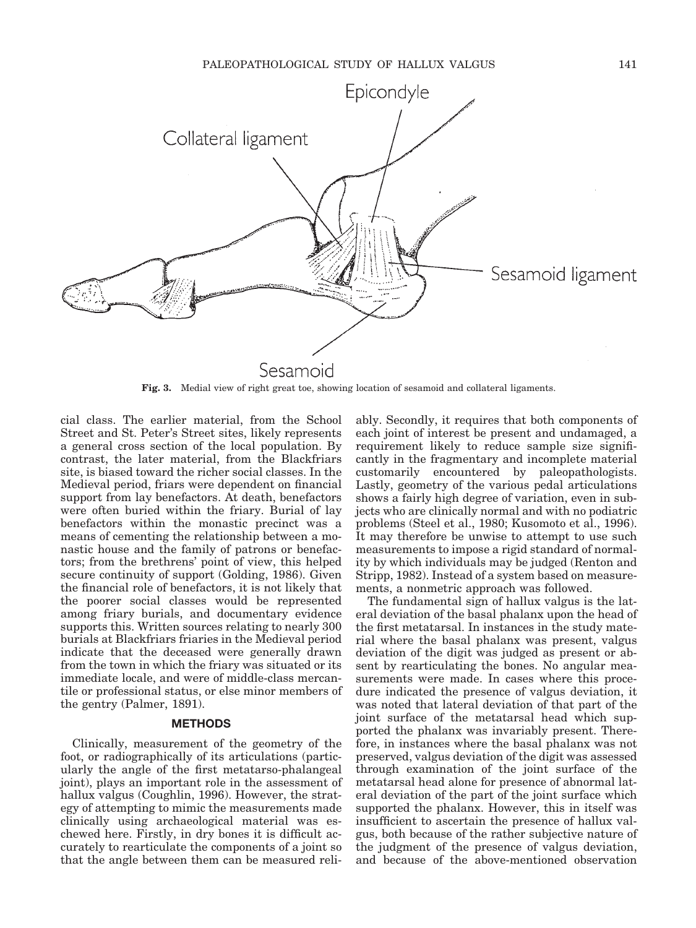

**Fig. 3.** Medial view of right great toe, showing location of sesamoid and collateral ligaments.

cial class. The earlier material, from the School Street and St. Peter's Street sites, likely represents a general cross section of the local population. By contrast, the later material, from the Blackfriars site, is biased toward the richer social classes. In the Medieval period, friars were dependent on financial support from lay benefactors. At death, benefactors were often buried within the friary. Burial of lay benefactors within the monastic precinct was a means of cementing the relationship between a monastic house and the family of patrons or benefactors; from the brethrens' point of view, this helped secure continuity of support (Golding, 1986). Given the financial role of benefactors, it is not likely that the poorer social classes would be represented among friary burials, and documentary evidence supports this. Written sources relating to nearly 300 burials at Blackfriars friaries in the Medieval period indicate that the deceased were generally drawn from the town in which the friary was situated or its immediate locale, and were of middle-class mercantile or professional status, or else minor members of the gentry (Palmer, 1891).

## **METHODS**

Clinically, measurement of the geometry of the foot, or radiographically of its articulations (particularly the angle of the first metatarso-phalangeal joint), plays an important role in the assessment of hallux valgus (Coughlin, 1996). However, the strategy of attempting to mimic the measurements made clinically using archaeological material was eschewed here. Firstly, in dry bones it is difficult accurately to rearticulate the components of a joint so that the angle between them can be measured reliably. Secondly, it requires that both components of each joint of interest be present and undamaged, a requirement likely to reduce sample size significantly in the fragmentary and incomplete material customarily encountered by paleopathologists. Lastly, geometry of the various pedal articulations shows a fairly high degree of variation, even in subjects who are clinically normal and with no podiatric problems (Steel et al., 1980; Kusomoto et al., 1996). It may therefore be unwise to attempt to use such measurements to impose a rigid standard of normality by which individuals may be judged (Renton and Stripp, 1982). Instead of a system based on measurements, a nonmetric approach was followed.

The fundamental sign of hallux valgus is the lateral deviation of the basal phalanx upon the head of the first metatarsal. In instances in the study material where the basal phalanx was present, valgus deviation of the digit was judged as present or absent by rearticulating the bones. No angular measurements were made. In cases where this procedure indicated the presence of valgus deviation, it was noted that lateral deviation of that part of the joint surface of the metatarsal head which supported the phalanx was invariably present. Therefore, in instances where the basal phalanx was not preserved, valgus deviation of the digit was assessed through examination of the joint surface of the metatarsal head alone for presence of abnormal lateral deviation of the part of the joint surface which supported the phalanx. However, this in itself was insufficient to ascertain the presence of hallux valgus, both because of the rather subjective nature of the judgment of the presence of valgus deviation, and because of the above-mentioned observation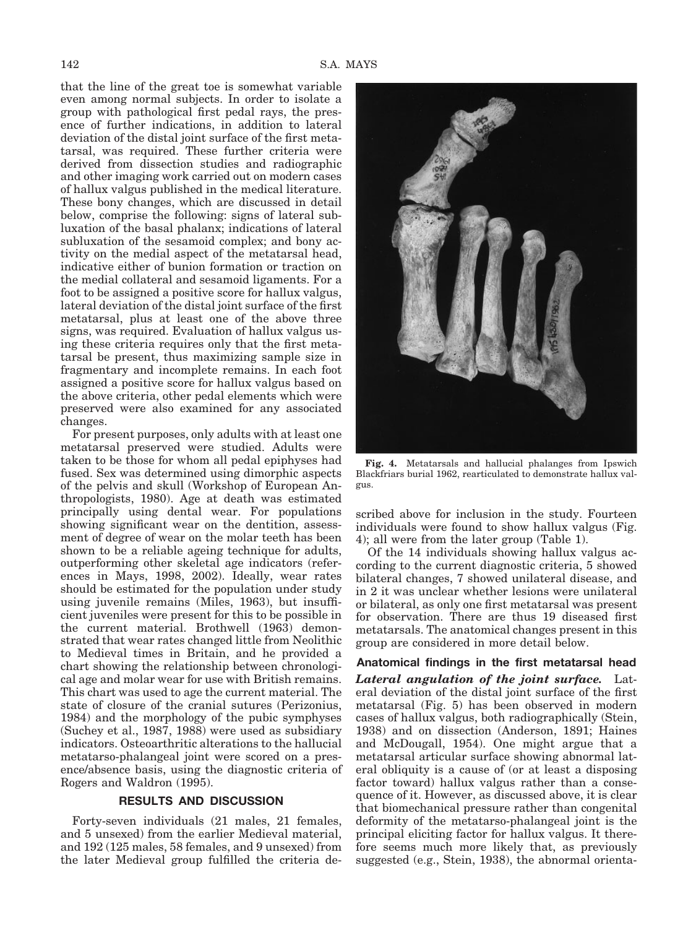that the line of the great toe is somewhat variable even among normal subjects. In order to isolate a group with pathological first pedal rays, the presence of further indications, in addition to lateral deviation of the distal joint surface of the first metatarsal, was required. These further criteria were derived from dissection studies and radiographic and other imaging work carried out on modern cases of hallux valgus published in the medical literature. These bony changes, which are discussed in detail below, comprise the following: signs of lateral subluxation of the basal phalanx; indications of lateral subluxation of the sesamoid complex; and bony activity on the medial aspect of the metatarsal head, indicative either of bunion formation or traction on the medial collateral and sesamoid ligaments. For a foot to be assigned a positive score for hallux valgus, lateral deviation of the distal joint surface of the first metatarsal, plus at least one of the above three signs, was required. Evaluation of hallux valgus using these criteria requires only that the first metatarsal be present, thus maximizing sample size in fragmentary and incomplete remains. In each foot assigned a positive score for hallux valgus based on the above criteria, other pedal elements which were preserved were also examined for any associated changes.

For present purposes, only adults with at least one metatarsal preserved were studied. Adults were taken to be those for whom all pedal epiphyses had fused. Sex was determined using dimorphic aspects of the pelvis and skull (Workshop of European Anthropologists, 1980). Age at death was estimated principally using dental wear. For populations showing significant wear on the dentition, assessment of degree of wear on the molar teeth has been shown to be a reliable ageing technique for adults, outperforming other skeletal age indicators (references in Mays, 1998, 2002). Ideally, wear rates should be estimated for the population under study using juvenile remains (Miles, 1963), but insufficient juveniles were present for this to be possible in the current material. Brothwell (1963) demonstrated that wear rates changed little from Neolithic to Medieval times in Britain, and he provided a chart showing the relationship between chronological age and molar wear for use with British remains. This chart was used to age the current material. The state of closure of the cranial sutures (Perizonius, 1984) and the morphology of the pubic symphyses (Suchey et al., 1987, 1988) were used as subsidiary indicators. Osteoarthritic alterations to the hallucial metatarso-phalangeal joint were scored on a presence/absence basis, using the diagnostic criteria of Rogers and Waldron (1995).

#### **RESULTS AND DISCUSSION**

Forty-seven individuals (21 males, 21 females, and 5 unsexed) from the earlier Medieval material, and 192 (125 males, 58 females, and 9 unsexed) from the later Medieval group fulfilled the criteria de-



**Fig. 4.** Metatarsals and hallucial phalanges from Ipswich Blackfriars burial 1962, rearticulated to demonstrate hallux valgus.

scribed above for inclusion in the study. Fourteen individuals were found to show hallux valgus (Fig. 4); all were from the later group (Table 1).

Of the 14 individuals showing hallux valgus according to the current diagnostic criteria, 5 showed bilateral changes, 7 showed unilateral disease, and in 2 it was unclear whether lesions were unilateral or bilateral, as only one first metatarsal was present for observation. There are thus 19 diseased first metatarsals. The anatomical changes present in this group are considered in more detail below.

**Anatomical findings in the first metatarsal head** *Lateral angulation of the joint surface.* Lateral deviation of the distal joint surface of the first metatarsal (Fig. 5) has been observed in modern cases of hallux valgus, both radiographically (Stein, 1938) and on dissection (Anderson, 1891; Haines and McDougall, 1954). One might argue that a metatarsal articular surface showing abnormal lateral obliquity is a cause of (or at least a disposing factor toward) hallux valgus rather than a consequence of it. However, as discussed above, it is clear that biomechanical pressure rather than congenital deformity of the metatarso-phalangeal joint is the principal eliciting factor for hallux valgus. It therefore seems much more likely that, as previously suggested (e.g., Stein, 1938), the abnormal orienta-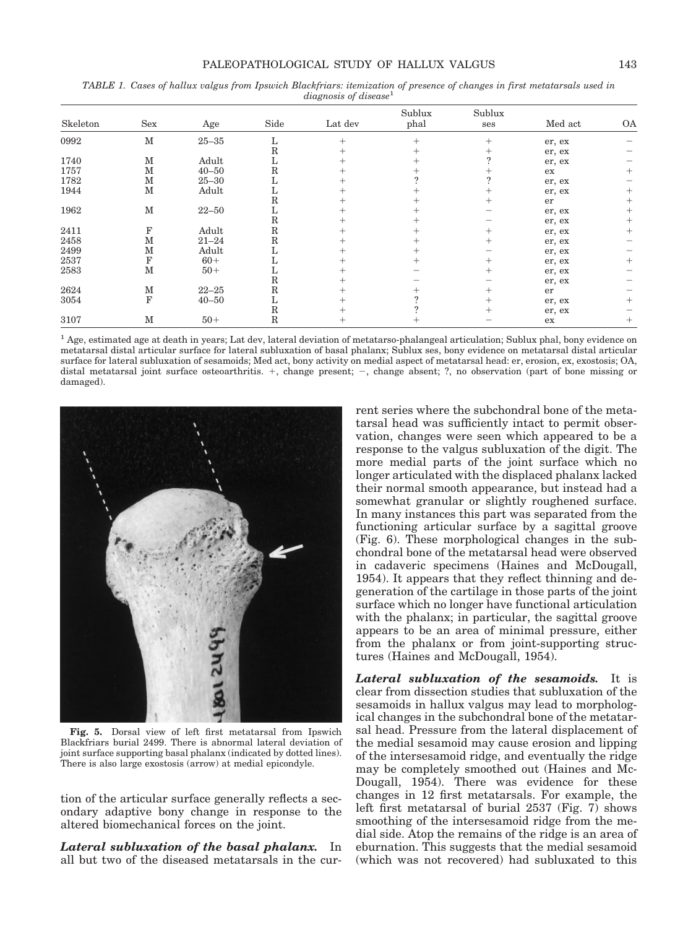| Skeleton | <b>Sex</b>  | Age       | Side        | Lat dev | Sublux<br>phal | Sublux<br>ses | Med act | <b>OA</b> |
|----------|-------------|-----------|-------------|---------|----------------|---------------|---------|-----------|
| 0992     | $\mathbf M$ | $25 - 35$ | L           | $^{+}$  | $\overline{+}$ | $^{+}$        | er, ex  |           |
|          |             |           | R           | $\,+\,$ |                |               | er, ex  |           |
| 1740     | М           | Adult     |             |         |                |               | er, ex  |           |
| 1757     | м           | $40 - 50$ | R           |         |                |               | ex      |           |
| 1782     | м           | $25 - 30$ |             |         |                |               | er, ex  |           |
| 1944     | М           | Adult     |             |         |                |               | er, ex  |           |
|          |             |           | R           |         |                |               | er      |           |
| 1962     | М           | $22 - 50$ |             |         |                |               | er, ex  |           |
|          |             |           | R           |         |                |               | er, ex  |           |
| 2411     | $_{\rm F}$  | Adult     | R           |         |                | $^+$          | er, ex  |           |
| 2458     | м           | $21 - 24$ | $_{\rm R}$  |         |                | $^+$          | er, ex  |           |
| 2499     | м           | Adult     |             |         |                |               | er, ex  |           |
| 2537     | F           | $60+$     |             |         |                | $^+$          | er, ex  |           |
| 2583     | М           | $50+$     |             |         |                | $^+$          | er, ex  |           |
|          |             |           | $_{\rm R}$  |         |                |               | er, ex  |           |
| 2624     | М           | $22 - 25$ | R           |         |                |               | er      |           |
| 3054     | F           | $40 - 50$ |             |         |                | $^+$          | er, ex  |           |
|          |             |           | R           | $\! +$  |                | $^+$          | er, ex  |           |
| 3107     | М           | $50+$     | $\mathbf R$ | $^+$    |                |               | ex      | $^{+}$    |

*TABLE 1. Cases of hallux valgus from Ipswich Blackfriars: itemization of presence of changes in first metatarsals used in diagnosis of disease*<sup>1</sup>

<sup>1</sup> Age, estimated age at death in years; Lat dev, lateral deviation of metatarso-phalangeal articulation; Sublux phal, bony evidence on metatarsal distal articular surface for lateral subluxation of basal phalanx; Sublux ses, bony evidence on metatarsal distal articular surface for lateral subluxation of sesamoids; Med act, bony activity on medial aspect of metatarsal head: er, erosion, ex, exostosis; OA, distal metatarsal joint surface osteoarthritis. +, change present; -, change absent; ?, no observation (part of bone missing or damaged).



**Fig. 5.** Dorsal view of left first metatarsal from Ipswich Blackfriars burial 2499. There is abnormal lateral deviation of joint surface supporting basal phalanx (indicated by dotted lines). There is also large exostosis (arrow) at medial epicondyle.

tion of the articular surface generally reflects a secondary adaptive bony change in response to the altered biomechanical forces on the joint.

*Lateral subluxation of the basal phalanx.* In all but two of the diseased metatarsals in the current series where the subchondral bone of the metatarsal head was sufficiently intact to permit observation, changes were seen which appeared to be a response to the valgus subluxation of the digit. The more medial parts of the joint surface which no longer articulated with the displaced phalanx lacked their normal smooth appearance, but instead had a somewhat granular or slightly roughened surface. In many instances this part was separated from the functioning articular surface by a sagittal groove (Fig. 6). These morphological changes in the subchondral bone of the metatarsal head were observed in cadaveric specimens (Haines and McDougall, 1954). It appears that they reflect thinning and degeneration of the cartilage in those parts of the joint surface which no longer have functional articulation with the phalanx; in particular, the sagittal groove appears to be an area of minimal pressure, either from the phalanx or from joint-supporting structures (Haines and McDougall, 1954).

*Lateral subluxation of the sesamoids.* It is clear from dissection studies that subluxation of the sesamoids in hallux valgus may lead to morphological changes in the subchondral bone of the metatarsal head. Pressure from the lateral displacement of the medial sesamoid may cause erosion and lipping of the intersesamoid ridge, and eventually the ridge may be completely smoothed out (Haines and Mc-Dougall, 1954). There was evidence for these changes in 12 first metatarsals. For example, the left first metatarsal of burial 2537 (Fig. 7) shows smoothing of the intersesamoid ridge from the medial side. Atop the remains of the ridge is an area of eburnation. This suggests that the medial sesamoid (which was not recovered) had subluxated to this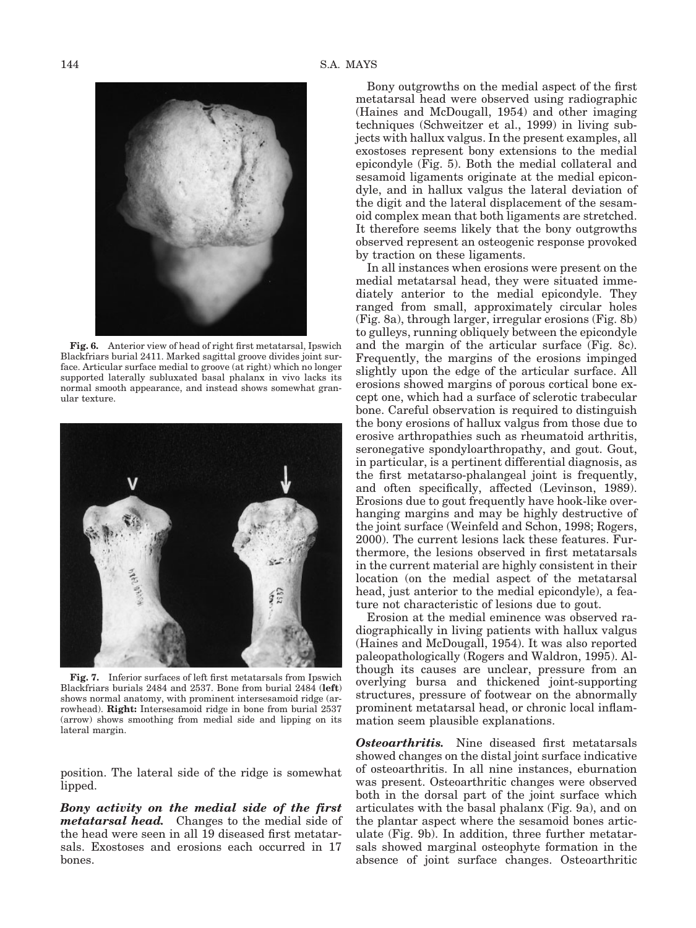

**Fig. 6.** Anterior view of head of right first metatarsal, Ipswich Blackfriars burial 2411. Marked sagittal groove divides joint surface. Articular surface medial to groove (at right) which no longer supported laterally subluxated basal phalanx in vivo lacks its normal smooth appearance, and instead shows somewhat granular texture.



**Fig. 7.** Inferior surfaces of left first metatarsals from Ipswich Blackfriars burials 2484 and 2537. Bone from burial 2484 (**left**) shows normal anatomy, with prominent intersesamoid ridge (arrowhead). **Right:** Intersesamoid ridge in bone from burial 2537 (arrow) shows smoothing from medial side and lipping on its lateral margin.

position. The lateral side of the ridge is somewhat lipped.

*Bony activity on the medial side of the first metatarsal head.* Changes to the medial side of the head were seen in all 19 diseased first metatarsals. Exostoses and erosions each occurred in 17 bones.

Bony outgrowths on the medial aspect of the first metatarsal head were observed using radiographic (Haines and McDougall, 1954) and other imaging techniques (Schweitzer et al., 1999) in living subjects with hallux valgus. In the present examples, all exostoses represent bony extensions to the medial epicondyle (Fig. 5). Both the medial collateral and sesamoid ligaments originate at the medial epicondyle, and in hallux valgus the lateral deviation of the digit and the lateral displacement of the sesamoid complex mean that both ligaments are stretched. It therefore seems likely that the bony outgrowths observed represent an osteogenic response provoked by traction on these ligaments.

In all instances when erosions were present on the medial metatarsal head, they were situated immediately anterior to the medial epicondyle. They ranged from small, approximately circular holes (Fig. 8a), through larger, irregular erosions (Fig. 8b) to gulleys, running obliquely between the epicondyle and the margin of the articular surface (Fig. 8c). Frequently, the margins of the erosions impinged slightly upon the edge of the articular surface. All erosions showed margins of porous cortical bone except one, which had a surface of sclerotic trabecular bone. Careful observation is required to distinguish the bony erosions of hallux valgus from those due to erosive arthropathies such as rheumatoid arthritis, seronegative spondyloarthropathy, and gout. Gout, in particular, is a pertinent differential diagnosis, as the first metatarso-phalangeal joint is frequently, and often specifically, affected (Levinson, 1989). Erosions due to gout frequently have hook-like overhanging margins and may be highly destructive of the joint surface (Weinfeld and Schon, 1998; Rogers, 2000). The current lesions lack these features. Furthermore, the lesions observed in first metatarsals in the current material are highly consistent in their location (on the medial aspect of the metatarsal head, just anterior to the medial epicondyle), a feature not characteristic of lesions due to gout.

Erosion at the medial eminence was observed radiographically in living patients with hallux valgus (Haines and McDougall, 1954). It was also reported paleopathologically (Rogers and Waldron, 1995). Although its causes are unclear, pressure from an overlying bursa and thickened joint-supporting structures, pressure of footwear on the abnormally prominent metatarsal head, or chronic local inflammation seem plausible explanations.

*Osteoarthritis.* Nine diseased first metatarsals showed changes on the distal joint surface indicative of osteoarthritis. In all nine instances, eburnation was present. Osteoarthritic changes were observed both in the dorsal part of the joint surface which articulates with the basal phalanx (Fig. 9a), and on the plantar aspect where the sesamoid bones articulate (Fig. 9b). In addition, three further metatarsals showed marginal osteophyte formation in the absence of joint surface changes. Osteoarthritic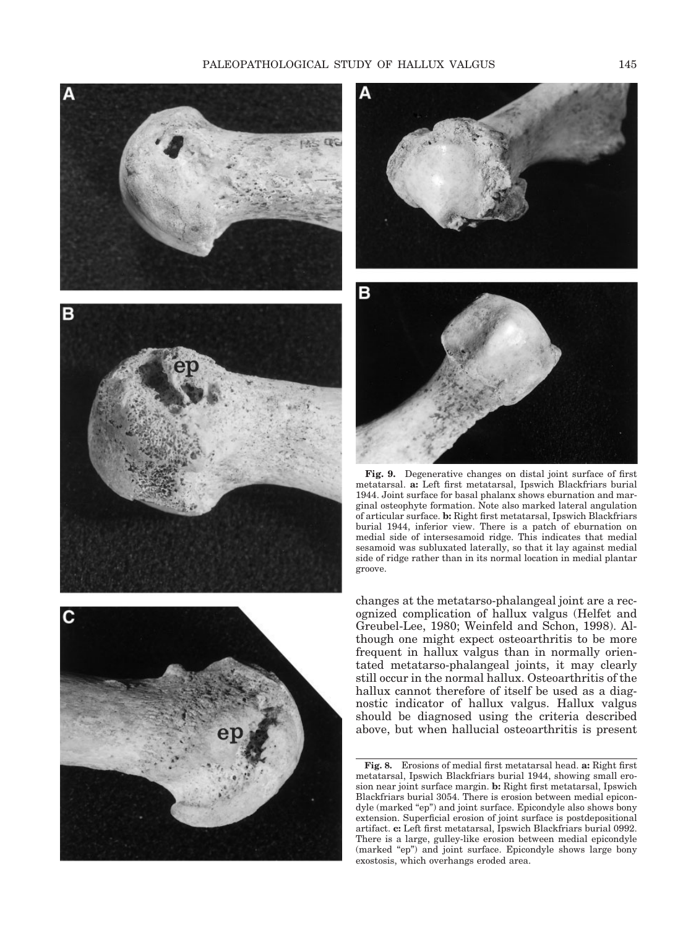#### PALEOPATHOLOGICAL STUDY OF HALLUX VALGUS 145

А



![](_page_6_Figure_3.jpeg)

**Fig. 9.** Degenerative changes on distal joint surface of first metatarsal. **a:** Left first metatarsal, Ipswich Blackfriars burial 1944. Joint surface for basal phalanx shows eburnation and marginal osteophyte formation. Note also marked lateral angulation of articular surface. **b:** Right first metatarsal, Ipswich Blackfriars burial 1944, inferior view. There is a patch of eburnation on medial side of intersesamoid ridge. This indicates that medial sesamoid was subluxated laterally, so that it lay against medial side of ridge rather than in its normal location in medial plantar groove.

changes at the metatarso-phalangeal joint are a recognized complication of hallux valgus (Helfet and Greubel-Lee, 1980; Weinfeld and Schon, 1998). Although one might expect osteoarthritis to be more frequent in hallux valgus than in normally orientated metatarso-phalangeal joints, it may clearly still occur in the normal hallux. Osteoarthritis of the hallux cannot therefore of itself be used as a diagnostic indicator of hallux valgus. Hallux valgus should be diagnosed using the criteria described above, but when hallucial osteoarthritis is present

**Fig. 8.** Erosions of medial first metatarsal head. **a:** Right first metatarsal, Ipswich Blackfriars burial 1944, showing small erosion near joint surface margin. **b:** Right first metatarsal, Ipswich Blackfriars burial 3054. There is erosion between medial epicondyle (marked "ep") and joint surface. Epicondyle also shows bony extension. Superficial erosion of joint surface is postdepositional artifact. **c:** Left first metatarsal, Ipswich Blackfriars burial 0992. There is a large, gulley-like erosion between medial epicondyle (marked "ep") and joint surface. Epicondyle shows large bony exostosis, which overhangs eroded area.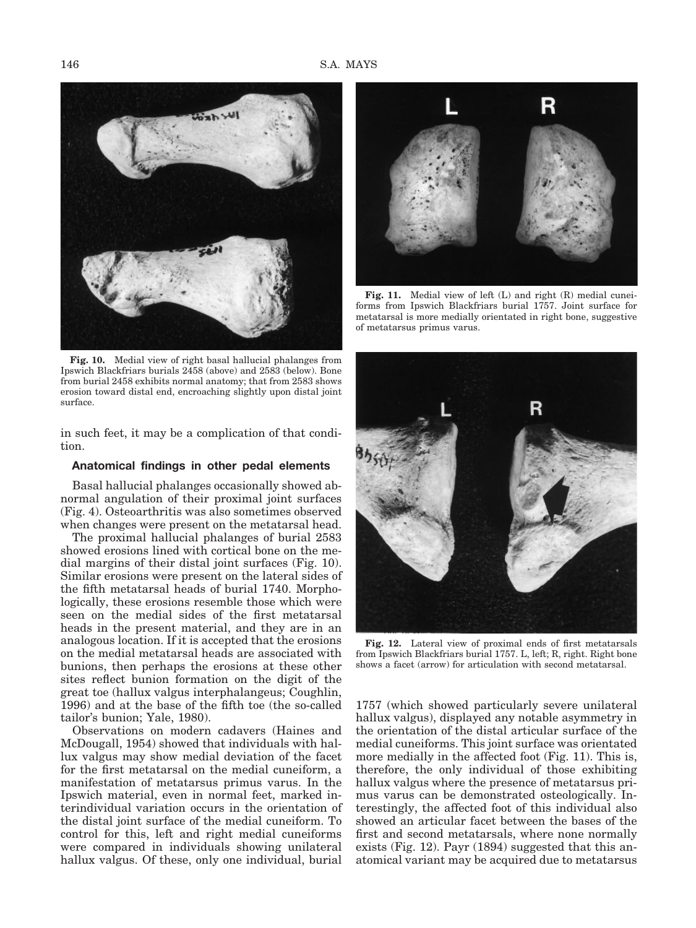![](_page_7_Picture_1.jpeg)

**Fig. 10.** Medial view of right basal hallucial phalanges from Ipswich Blackfriars burials 2458 (above) and 2583 (below). Bone from burial 2458 exhibits normal anatomy; that from 2583 shows erosion toward distal end, encroaching slightly upon distal joint surface.

in such feet, it may be a complication of that condition.

#### **Anatomical findings in other pedal elements**

Basal hallucial phalanges occasionally showed abnormal angulation of their proximal joint surfaces (Fig. 4). Osteoarthritis was also sometimes observed when changes were present on the metatarsal head.

The proximal hallucial phalanges of burial 2583 showed erosions lined with cortical bone on the medial margins of their distal joint surfaces (Fig. 10). Similar erosions were present on the lateral sides of the fifth metatarsal heads of burial 1740. Morphologically, these erosions resemble those which were seen on the medial sides of the first metatarsal heads in the present material, and they are in an analogous location. If it is accepted that the erosions on the medial metatarsal heads are associated with bunions, then perhaps the erosions at these other sites reflect bunion formation on the digit of the great toe (hallux valgus interphalangeus; Coughlin, 1996) and at the base of the fifth toe (the so-called tailor's bunion; Yale, 1980).

Observations on modern cadavers (Haines and McDougall, 1954) showed that individuals with hallux valgus may show medial deviation of the facet for the first metatarsal on the medial cuneiform, a manifestation of metatarsus primus varus. In the Ipswich material, even in normal feet, marked interindividual variation occurs in the orientation of the distal joint surface of the medial cuneiform. To control for this, left and right medial cuneiforms were compared in individuals showing unilateral hallux valgus. Of these, only one individual, burial

![](_page_7_Figure_8.jpeg)

**Fig. 11.** Medial view of left (L) and right (R) medial cuneiforms from Ipswich Blackfriars burial 1757. Joint surface for metatarsal is more medially orientated in right bone, suggestive of metatarsus primus varus.

![](_page_7_Picture_10.jpeg)

**Fig. 12.** Lateral view of proximal ends of first metatarsals from Ipswich Blackfriars burial 1757. L, left; R, right. Right bone shows a facet (arrow) for articulation with second metatarsal.

1757 (which showed particularly severe unilateral hallux valgus), displayed any notable asymmetry in the orientation of the distal articular surface of the medial cuneiforms. This joint surface was orientated more medially in the affected foot (Fig. 11). This is, therefore, the only individual of those exhibiting hallux valgus where the presence of metatarsus primus varus can be demonstrated osteologically. Interestingly, the affected foot of this individual also showed an articular facet between the bases of the first and second metatarsals, where none normally exists (Fig. 12). Payr (1894) suggested that this anatomical variant may be acquired due to metatarsus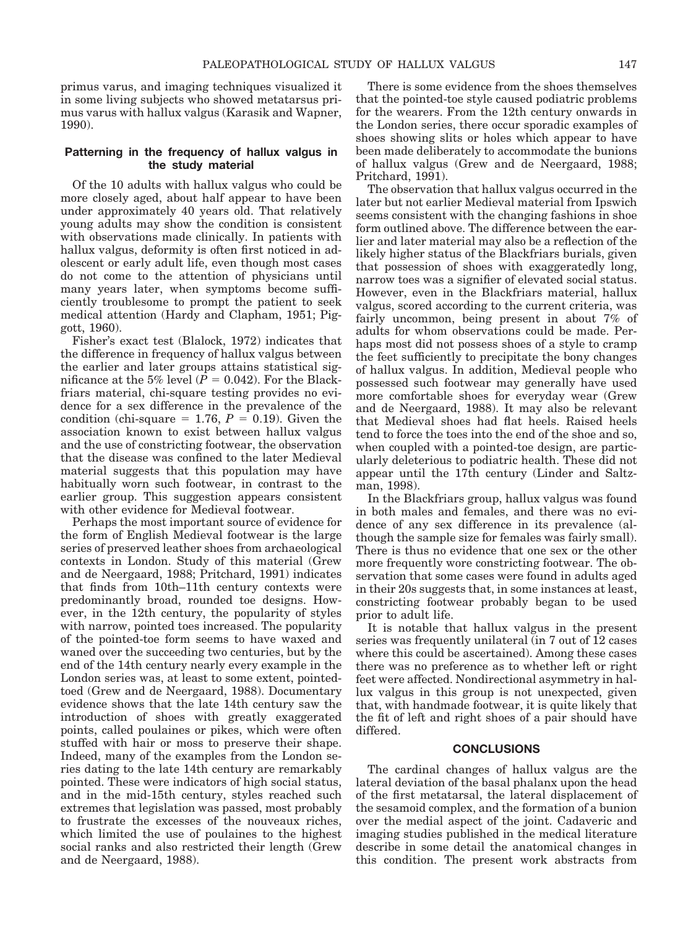primus varus, and imaging techniques visualized it in some living subjects who showed metatarsus primus varus with hallux valgus (Karasik and Wapner, 1990).

### **Patterning in the frequency of hallux valgus in the study material**

Of the 10 adults with hallux valgus who could be more closely aged, about half appear to have been under approximately 40 years old. That relatively young adults may show the condition is consistent with observations made clinically. In patients with hallux valgus, deformity is often first noticed in adolescent or early adult life, even though most cases do not come to the attention of physicians until many years later, when symptoms become sufficiently troublesome to prompt the patient to seek medical attention (Hardy and Clapham, 1951; Piggott, 1960).

Fisher's exact test (Blalock, 1972) indicates that the difference in frequency of hallux valgus between the earlier and later groups attains statistical significance at the 5% level  $(P = 0.042)$ . For the Blackfriars material, chi-square testing provides no evidence for a sex difference in the prevalence of the condition (chi-square  $= 1.76, P = 0.19$ ). Given the association known to exist between hallux valgus and the use of constricting footwear, the observation that the disease was confined to the later Medieval material suggests that this population may have habitually worn such footwear, in contrast to the earlier group. This suggestion appears consistent with other evidence for Medieval footwear.

Perhaps the most important source of evidence for the form of English Medieval footwear is the large series of preserved leather shoes from archaeological contexts in London. Study of this material (Grew and de Neergaard, 1988; Pritchard, 1991) indicates that finds from 10th–11th century contexts were predominantly broad, rounded toe designs. However, in the 12th century, the popularity of styles with narrow, pointed toes increased. The popularity of the pointed-toe form seems to have waxed and waned over the succeeding two centuries, but by the end of the 14th century nearly every example in the London series was, at least to some extent, pointedtoed (Grew and de Neergaard, 1988). Documentary evidence shows that the late 14th century saw the introduction of shoes with greatly exaggerated points, called poulaines or pikes, which were often stuffed with hair or moss to preserve their shape. Indeed, many of the examples from the London series dating to the late 14th century are remarkably pointed. These were indicators of high social status, and in the mid-15th century, styles reached such extremes that legislation was passed, most probably to frustrate the excesses of the nouveaux riches, which limited the use of poulaines to the highest social ranks and also restricted their length (Grew and de Neergaard, 1988).

There is some evidence from the shoes themselves that the pointed-toe style caused podiatric problems for the wearers. From the 12th century onwards in the London series, there occur sporadic examples of shoes showing slits or holes which appear to have been made deliberately to accommodate the bunions of hallux valgus (Grew and de Neergaard, 1988; Pritchard, 1991).

The observation that hallux valgus occurred in the later but not earlier Medieval material from Ipswich seems consistent with the changing fashions in shoe form outlined above. The difference between the earlier and later material may also be a reflection of the likely higher status of the Blackfriars burials, given that possession of shoes with exaggeratedly long, narrow toes was a signifier of elevated social status. However, even in the Blackfriars material, hallux valgus, scored according to the current criteria, was fairly uncommon, being present in about 7% of adults for whom observations could be made. Perhaps most did not possess shoes of a style to cramp the feet sufficiently to precipitate the bony changes of hallux valgus. In addition, Medieval people who possessed such footwear may generally have used more comfortable shoes for everyday wear (Grew and de Neergaard, 1988). It may also be relevant that Medieval shoes had flat heels. Raised heels tend to force the toes into the end of the shoe and so, when coupled with a pointed-toe design, are particularly deleterious to podiatric health. These did not appear until the 17th century (Linder and Saltzman, 1998).

In the Blackfriars group, hallux valgus was found in both males and females, and there was no evidence of any sex difference in its prevalence (although the sample size for females was fairly small). There is thus no evidence that one sex or the other more frequently wore constricting footwear. The observation that some cases were found in adults aged in their 20s suggests that, in some instances at least, constricting footwear probably began to be used prior to adult life.

It is notable that hallux valgus in the present series was frequently unilateral (in 7 out of 12 cases where this could be ascertained). Among these cases there was no preference as to whether left or right feet were affected. Nondirectional asymmetry in hallux valgus in this group is not unexpected, given that, with handmade footwear, it is quite likely that the fit of left and right shoes of a pair should have differed.

### **CONCLUSIONS**

The cardinal changes of hallux valgus are the lateral deviation of the basal phalanx upon the head of the first metatarsal, the lateral displacement of the sesamoid complex, and the formation of a bunion over the medial aspect of the joint. Cadaveric and imaging studies published in the medical literature describe in some detail the anatomical changes in this condition. The present work abstracts from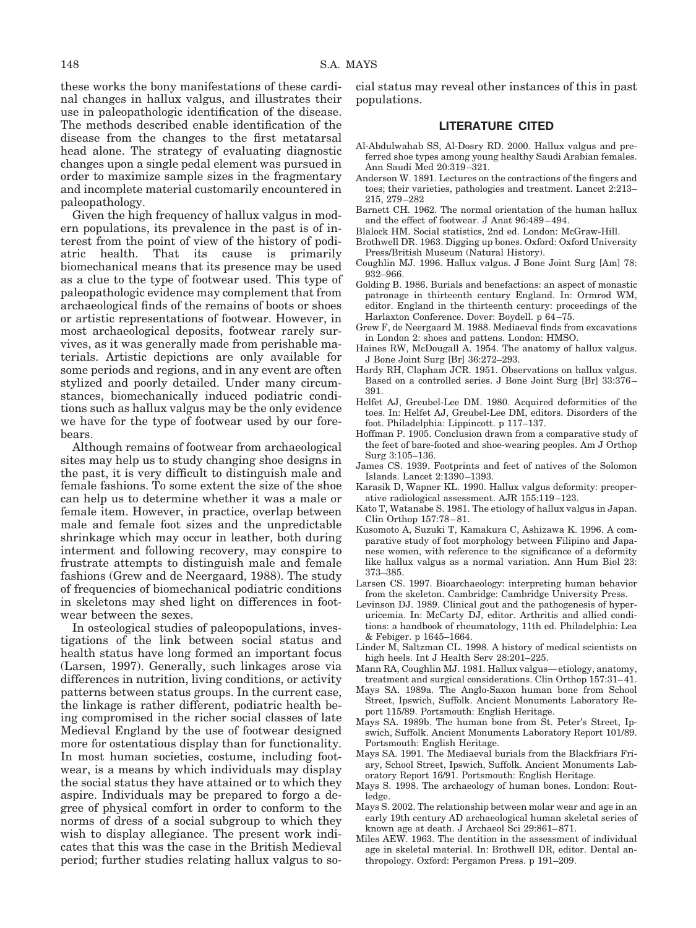these works the bony manifestations of these cardinal changes in hallux valgus, and illustrates their use in paleopathologic identification of the disease. The methods described enable identification of the disease from the changes to the first metatarsal head alone. The strategy of evaluating diagnostic changes upon a single pedal element was pursued in order to maximize sample sizes in the fragmentary and incomplete material customarily encountered in paleopathology.

Given the high frequency of hallux valgus in modern populations, its prevalence in the past is of interest from the point of view of the history of podiatric health. That its cause is primarily biomechanical means that its presence may be used as a clue to the type of footwear used. This type of paleopathologic evidence may complement that from archaeological finds of the remains of boots or shoes or artistic representations of footwear. However, in most archaeological deposits, footwear rarely survives, as it was generally made from perishable materials. Artistic depictions are only available for some periods and regions, and in any event are often stylized and poorly detailed. Under many circumstances, biomechanically induced podiatric conditions such as hallux valgus may be the only evidence we have for the type of footwear used by our forebears.

Although remains of footwear from archaeological sites may help us to study changing shoe designs in the past, it is very difficult to distinguish male and female fashions. To some extent the size of the shoe can help us to determine whether it was a male or female item. However, in practice, overlap between male and female foot sizes and the unpredictable shrinkage which may occur in leather, both during interment and following recovery, may conspire to frustrate attempts to distinguish male and female fashions (Grew and de Neergaard, 1988). The study of frequencies of biomechanical podiatric conditions in skeletons may shed light on differences in footwear between the sexes.

In osteological studies of paleopopulations, investigations of the link between social status and health status have long formed an important focus (Larsen, 1997). Generally, such linkages arose via differences in nutrition, living conditions, or activity patterns between status groups. In the current case, the linkage is rather different, podiatric health being compromised in the richer social classes of late Medieval England by the use of footwear designed more for ostentatious display than for functionality. In most human societies, costume, including footwear, is a means by which individuals may display the social status they have attained or to which they aspire. Individuals may be prepared to forgo a degree of physical comfort in order to conform to the norms of dress of a social subgroup to which they wish to display allegiance. The present work indicates that this was the case in the British Medieval period; further studies relating hallux valgus to social status may reveal other instances of this in past populations.

#### **LITERATURE CITED**

- Al-Abdulwahab SS, Al-Dosry RD. 2000. Hallux valgus and preferred shoe types among young healthy Saudi Arabian females. Ann Saudi Med 20:319 –321.
- Anderson W. 1891. Lectures on the contractions of the fingers and toes; their varieties, pathologies and treatment. Lancet 2:213– 215, 279 –282
- Barnett CH. 1962. The normal orientation of the human hallux and the effect of footwear. J Anat 96:489 – 494.
- Blalock HM. Social statistics, 2nd ed. London: McGraw-Hill.
- Brothwell DR. 1963. Digging up bones. Oxford: Oxford University Press/British Museum (Natural History).
- Coughlin MJ. 1996. Hallux valgus. J Bone Joint Surg [Am] 78: 932–966.
- Golding B. 1986. Burials and benefactions: an aspect of monastic patronage in thirteenth century England. In: Ormrod WM, editor. England in the thirteenth century: proceedings of the Harlaxton Conference. Dover: Boydell. p 64 –75.
- Grew F, de Neergaard M. 1988. Mediaeval finds from excavations in London 2: shoes and pattens. London: HMSO.
- Haines RW, McDougall A. 1954. The anatomy of hallux valgus. J Bone Joint Surg [Br] 36:272–293.
- Hardy RH, Clapham JCR. 1951. Observations on hallux valgus. Based on a controlled series. J Bone Joint Surg [Br] 33:376 – 391.
- Helfet AJ, Greubel-Lee DM. 1980. Acquired deformities of the toes. In: Helfet AJ, Greubel-Lee DM, editors. Disorders of the foot. Philadelphia: Lippincott. p 117–137.
- Hoffman P. 1905. Conclusion drawn from a comparative study of the feet of bare-footed and shoe-wearing peoples. Am J Orthop Surg 3:105–136.
- James CS. 1939. Footprints and feet of natives of the Solomon Islands. Lancet 2:1390 –1393.
- Karasik D, Wapner KL. 1990. Hallux valgus deformity: preoperative radiological assessment. AJR 155:119 –123.
- Kato T, Watanabe S. 1981. The etiology of hallux valgus in Japan. Clin Orthop 157:78 – 81.
- Kusomoto A, Suzuki T, Kamakura C, Ashizawa K. 1996. A comparative study of foot morphology between Filipino and Japanese women, with reference to the significance of a deformity like hallux valgus as a normal variation. Ann Hum Biol 23: 373–385.
- Larsen CS. 1997. Bioarchaeology: interpreting human behavior from the skeleton. Cambridge: Cambridge University Press.
- Levinson DJ. 1989. Clinical gout and the pathogenesis of hyperuricemia. In: McCarty DJ, editor. Arthritis and allied conditions: a handbook of rheumatology, 11th ed. Philadelphia: Lea & Febiger. p 1645–1664.
- Linder M, Saltzman CL. 1998. A history of medical scientists on high heels. Int J Health Serv 28:201–225.
- Mann RA, Coughlin MJ. 1981. Hallux valgus— etiology, anatomy, treatment and surgical considerations. Clin Orthop 157:31– 41.
- Mays SA. 1989a. The Anglo-Saxon human bone from School Street, Ipswich, Suffolk. Ancient Monuments Laboratory Report 115/89. Portsmouth: English Heritage.
- Mays SA. 1989b. The human bone from St. Peter's Street, Ipswich, Suffolk. Ancient Monuments Laboratory Report 101/89. Portsmouth: English Heritage.
- Mays SA. 1991. The Mediaeval burials from the Blackfriars Friary, School Street, Ipswich, Suffolk. Ancient Monuments Laboratory Report 16/91. Portsmouth: English Heritage.
- Mays S. 1998. The archaeology of human bones. London: Routledge.
- Mays S. 2002. The relationship between molar wear and age in an early 19th century AD archaeological human skeletal series of known age at death. J Archaeol Sci 29:861– 871.
- Miles AEW. 1963. The dentition in the assessment of individual age in skeletal material. In: Brothwell DR, editor. Dental anthropology. Oxford: Pergamon Press. p 191–209.